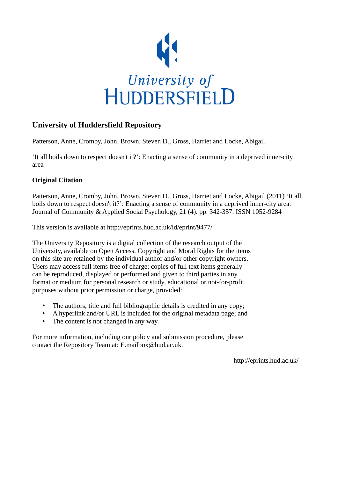

# **University of Huddersfield Repository**

Patterson, Anne, Cromby, John, Brown, Steven D., Gross, Harriet and Locke, Abigail

'It all boils down to respect doesn't it?': Enacting a sense of community in a deprived inner-city area

# **Original Citation**

Patterson, Anne, Cromby, John, Brown, Steven D., Gross, Harriet and Locke, Abigail (2011) 'It all boils down to respect doesn't it?': Enacting a sense of community in a deprived inner-city area. Journal of Community & Applied Social Psychology, 21 (4). pp. 342-357. ISSN 1052-9284

This version is available at http://eprints.hud.ac.uk/id/eprint/9477/

The University Repository is a digital collection of the research output of the University, available on Open Access. Copyright and Moral Rights for the items on this site are retained by the individual author and/or other copyright owners. Users may access full items free of charge; copies of full text items generally can be reproduced, displayed or performed and given to third parties in any format or medium for personal research or study, educational or not-for-profit purposes without prior permission or charge, provided:

- The authors, title and full bibliographic details is credited in any copy;
- A hyperlink and/or URL is included for the original metadata page; and
- The content is not changed in any way.

For more information, including our policy and submission procedure, please contact the Repository Team at: E.mailbox@hud.ac.uk.

http://eprints.hud.ac.uk/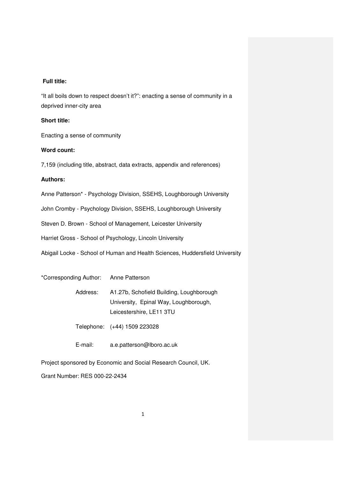## **Full title:**

"It all boils down to respect doesn't it?": enacting a sense of community in a deprived inner-city area

## **Short title:**

Enacting a sense of community

## **Word count:**

7,159 (including title, abstract, data extracts, appendix and references)

## **Authors:**

Anne Patterson\* - Psychology Division, SSEHS, Loughborough University

John Cromby - Psychology Division, SSEHS, Loughborough University

Steven D. Brown - School of Management, Leicester University

Harriet Gross - School of Psychology, Lincoln University

Abigail Locke - School of Human and Health Sciences, Huddersfield University

\*Corresponding Author: Anne Patterson

 Address: A1.27b, Schofield Building, Loughborough University, Epinal Way, Loughborough, Leicestershire, LE11 3TU

Telephone: (+44) 1509 223028

E-mail: a.e.patterson@lboro.ac.uk

Project sponsored by Economic and Social Research Council, UK.

Grant Number: RES 000-22-2434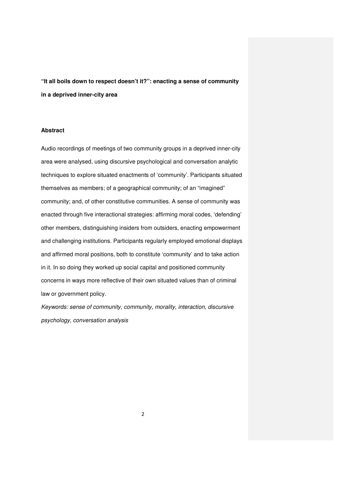**"It all boils down to respect doesn't it?": enacting a sense of community in a deprived inner-city area** 

### **Abstract**

Audio recordings of meetings of two community groups in a deprived inner-city area were analysed, using discursive psychological and conversation analytic techniques to explore situated enactments of 'community'. Participants situated themselves as members; of a geographical community; of an "imagined" community; and, of other constitutive communities. A sense of community was enacted through five interactional strategies: affirming moral codes, 'defending' other members, distinguishing insiders from outsiders, enacting empowerment and challenging institutions. Participants regularly employed emotional displays and affirmed moral positions, both to constitute 'community' and to take action in it. In so doing they worked up social capital and positioned community concerns in ways more reflective of their own situated values than of criminal law or government policy.

Keywords: sense of community, community, morality, interaction, discursive psychology, conversation analysis

2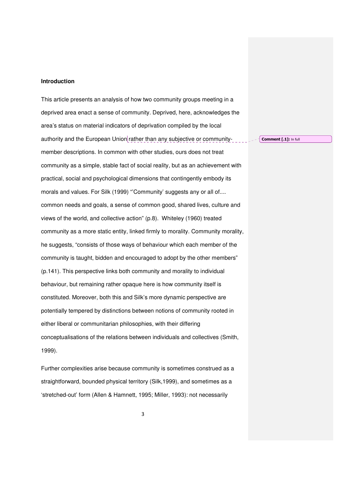#### **Introduction**

This article presents an analysis of how two community groups meeting in a deprived area enact a sense of community. Deprived, here, acknowledges the area's status on material indicators of deprivation compiled by the local authority and the European Union rather than any subjective or communitymember descriptions. In common with other studies, ours does not treat community as a simple, stable fact of social reality, but as an achievement with practical, social and psychological dimensions that contingently embody its morals and values. For Silk (1999) "'Community' suggests any or all of.... common needs and goals, a sense of common good, shared lives, culture and views of the world, and collective action" (p.8). Whiteley (1960) treated community as a more static entity, linked firmly to morality. Community morality, he suggests, "consists of those ways of behaviour which each member of the community is taught, bidden and encouraged to adopt by the other members" (p.141). This perspective links both community and morality to individual behaviour, but remaining rather opaque here is how community itself is constituted. Moreover, both this and Silk's more dynamic perspective are potentially tempered by distinctions between notions of community rooted in either liberal or communitarian philosophies, with their differing conceptualisations of the relations between individuals and collectives (Smith, 1999).

Further complexities arise because community is sometimes construed as a straightforward, bounded physical territory (Silk,1999), and sometimes as a 'stretched-out' form (Allen & Hamnett, 1995; Miller, 1993): not necessarily

Comment [.1]: In full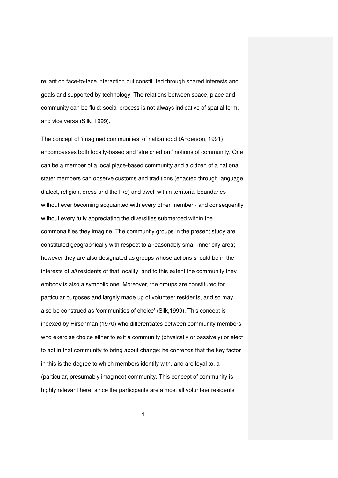reliant on face-to-face interaction but constituted through shared interests and goals and supported by technology. The relations between space, place and community can be fluid: social process is not always indicative of spatial form, and vice versa (Silk, 1999).

The concept of 'imagined communities' of nationhood (Anderson, 1991) encompasses both locally-based and 'stretched out' notions of community. One can be a member of a local place-based community and a citizen of a national state; members can observe customs and traditions (enacted through language, dialect, religion, dress and the like) and dwell within territorial boundaries without ever becoming acquainted with every other member - and consequently without every fully appreciating the diversities submerged within the commonalities they imagine. The community groups in the present study are constituted geographically with respect to a reasonably small inner city area; however they are also designated as groups whose actions should be in the interests of all residents of that locality, and to this extent the community they embody is also a symbolic one. Moreover, the groups are constituted for particular purposes and largely made up of volunteer residents, and so may also be construed as 'communities of choice' (Silk,1999). This concept is indexed by Hirschman (1970) who differentiates between community members who exercise choice either to exit a community (physically or passively) or elect to act in that community to bring about change: he contends that the key factor in this is the degree to which members identify with, and are loyal to, a (particular, presumably imagined) community. This concept of community is highly relevant here, since the participants are almost all volunteer residents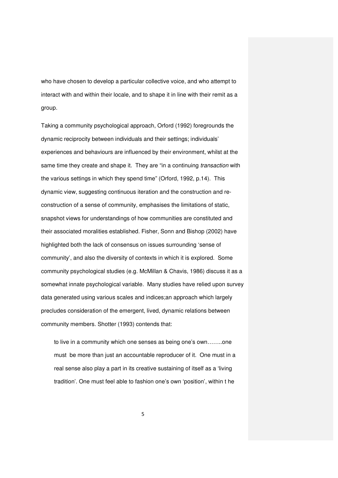who have chosen to develop a particular collective voice, and who attempt to interact with and within their locale, and to shape it in line with their remit as a group.

Taking a community psychological approach, Orford (1992) foregrounds the dynamic reciprocity between individuals and their settings; individuals' experiences and behaviours are influenced by their environment, whilst at the same time they create and shape it. They are "in a continuing transaction with the various settings in which they spend time" (Orford, 1992, p.14). This dynamic view, suggesting continuous iteration and the construction and reconstruction of a sense of community, emphasises the limitations of static, snapshot views for understandings of how communities are constituted and their associated moralities established. Fisher, Sonn and Bishop (2002) have highlighted both the lack of consensus on issues surrounding 'sense of community', and also the diversity of contexts in which it is explored. Some community psychological studies (e.g. McMillan & Chavis, 1986) discuss it as a somewhat innate psychological variable. Many studies have relied upon survey data generated using various scales and indices;an approach which largely precludes consideration of the emergent, lived, dynamic relations between community members. Shotter (1993) contends that:

to live in a community which one senses as being one's own……..one must be more than just an accountable reproducer of it. One must in a real sense also play a part in its creative sustaining of itself as a 'living tradition'. One must feel able to fashion one's own 'position', within t he

5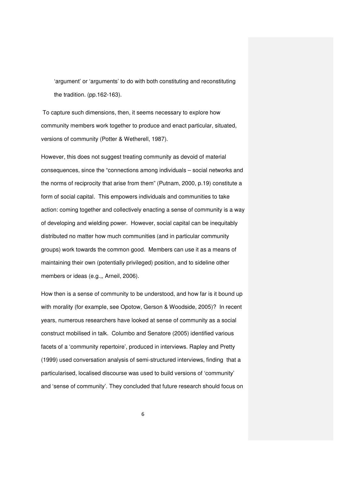'argument' or 'arguments' to do with both constituting and reconstituting the tradition. (pp.162-163).

 To capture such dimensions, then, it seems necessary to explore how community members work together to produce and enact particular, situated, versions of community (Potter & Wetherell, 1987).

However, this does not suggest treating community as devoid of material consequences, since the "connections among individuals – social networks and the norms of reciprocity that arise from them" (Putnam, 2000, p.19) constitute a form of social capital. This empowers individuals and communities to take action: coming together and collectively enacting a sense of community is a way of developing and wielding power. However, social capital can be inequitably distributed no matter how much communities (and in particular community groups) work towards the common good. Members can use it as a means of maintaining their own (potentially privileged) position, and to sideline other members or ideas (e.g.,, Arneil, 2006).

How then is a sense of community to be understood, and how far is it bound up with morality (for example, see Opotow, Gerson & Woodside, 2005)? In recent years, numerous researchers have looked at sense of community as a social construct mobilised in talk. Columbo and Senatore (2005) identified various facets of a 'community repertoire', produced in interviews. Rapley and Pretty (1999) used conversation analysis of semi-structured interviews, finding that a particularised, localised discourse was used to build versions of 'community' and 'sense of community'. They concluded that future research should focus on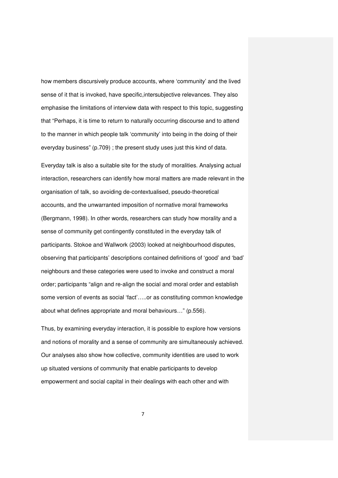how members discursively produce accounts, where 'community' and the lived sense of it that is invoked, have specific,intersubjective relevances. They also emphasise the limitations of interview data with respect to this topic, suggesting that "Perhaps, it is time to return to naturally occurring discourse and to attend to the manner in which people talk 'community' into being in the doing of their everyday business" (p.709) ; the present study uses just this kind of data.

Everyday talk is also a suitable site for the study of moralities. Analysing actual interaction, researchers can identify how moral matters are made relevant in the organisation of talk, so avoiding de-contextualised, pseudo-theoretical accounts, and the unwarranted imposition of normative moral frameworks (Bergmann, 1998). In other words, researchers can study how morality and a sense of community get contingently constituted in the everyday talk of participants. Stokoe and Wallwork (2003) looked at neighbourhood disputes, observing that participants' descriptions contained definitions of 'good' and 'bad' neighbours and these categories were used to invoke and construct a moral order; participants "align and re-align the social and moral order and establish some version of events as social 'fact'…..or as constituting common knowledge about what defines appropriate and moral behaviours…" (p.556).

Thus, by examining everyday interaction, it is possible to explore how versions and notions of morality and a sense of community are simultaneously achieved. Our analyses also show how collective, community identities are used to work up situated versions of community that enable participants to develop empowerment and social capital in their dealings with each other and with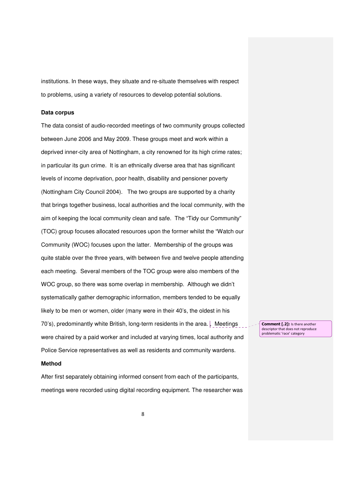institutions. In these ways, they situate and re-situate themselves with respect to problems, using a variety of resources to develop potential solutions.

### **Data corpus**

The data consist of audio-recorded meetings of two community groups collected between June 2006 and May 2009. These groups meet and work within a deprived inner-city area of Nottingham, a city renowned for its high crime rates; in particular its gun crime. It is an ethnically diverse area that has significant levels of income deprivation, poor health, disability and pensioner poverty (Nottingham City Council 2004). The two groups are supported by a charity that brings together business, local authorities and the local community, with the aim of keeping the local community clean and safe. The "Tidy our Community" (TOC) group focuses allocated resources upon the former whilst the "Watch our Community (WOC) focuses upon the latter. Membership of the groups was quite stable over the three years, with between five and twelve people attending each meeting. Several members of the TOC group were also members of the WOC group, so there was some overlap in membership. Although we didn't systematically gather demographic information, members tended to be equally likely to be men or women, older (many were in their 40's, the oldest in his 70's), predominantly white British, long-term residents in the area. , Meetings were chaired by a paid worker and included at varying times, local authority and Police Service representatives as well as residents and community wardens.

#### **Method**

After first separately obtaining informed consent from each of the participants, meetings were recorded using digital recording equipment. The researcher was Comment [.2]: Is there another descriptor that does not reproduce problematic 'race' category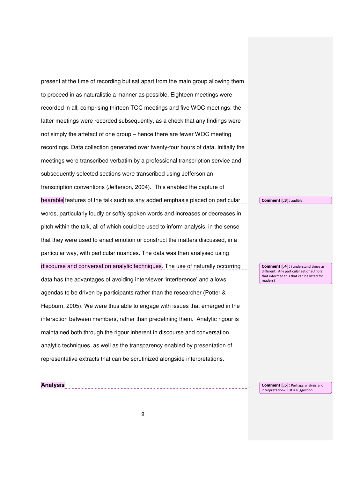present at the time of recording but sat apart from the main group allowing them to proceed in as naturalistic a manner as possible. Eighteen meetings were recorded in all, comprising thirteen TOC meetings and five WOC meetings: the latter meetings were recorded subsequently, as a check that any findings were not simply the artefact of one group – hence there are fewer WOC meeting recordings. Data collection generated over twenty-four hours of data. Initially the meetings were transcribed verbatim by a professional transcription service and subsequently selected sections were transcribed using Jeffersonian transcription conventions (Jefferson, 2004). This enabled the capture of hearable features of the talk such as any added emphasis placed on particular words, particularly loudly or softly spoken words and increases or decreases in pitch within the talk, all of which could be used to inform analysis, in the sense that they were used to enact emotion or construct the matters discussed, in a particular way, with particular nuances. The data was then analysed using discourse and conversation analytic techniques. The use of naturally occurring data has the advantages of avoiding interviewer 'interference' and allows agendas to be driven by participants rather than the researcher (Potter & Hepburn, 2005). We were thus able to engage with issues that emerged in the interaction between members, rather than predefining them. Analytic rigour is maintained both through the rigour inherent in discourse and conversation analytic techniques, as well as the transparency enabled by presentation of representative extracts that can be scrutinized alongside interpretations.

Comment [.3]: audible

**Comment [.4]:** i understand these as different. Any particular set of authors that informed this that can be listed for readers?

Comment [.5]: Perhaps analysis and interpretation? Just a suggestion

**Analysis**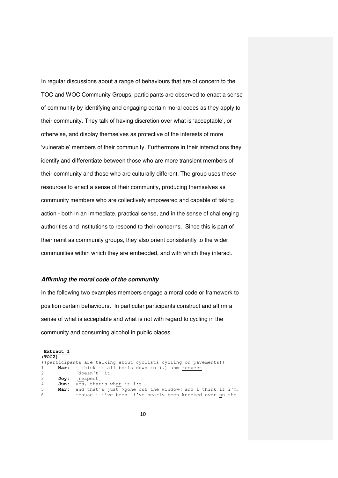In regular discussions about a range of behaviours that are of concern to the TOC and WOC Community Groups, participants are observed to enact a sense of community by identifying and engaging certain moral codes as they apply to their community. They talk of having discretion over what is 'acceptable', or otherwise, and display themselves as protective of the interests of more 'vulnerable' members of their community. Furthermore in their interactions they identify and differentiate between those who are more transient members of their community and those who are culturally different. The group uses these resources to enact a sense of their community, producing themselves as community members who are collectively empowered and capable of taking action - both in an immediate, practical sense, and in the sense of challenging authorities and institutions to respond to their concerns. Since this is part of their remit as community groups, they also orient consistently to the wider communities within which they are embedded, and with which they interact.

#### **Affirming the moral code of the community**

In the following two examples members engage a moral code or framework to position certain behaviours. In particular participants construct and affirm a sense of what is acceptable and what is not with regard to cycling in the community and consuming alcohol in public places.

**Extract 1 (TOC2)**  ((participants are talking about cyclists cycling on pavements)) 1 **Mar:** i think it all boils down to (.) uhm <u>respect</u> 2 [doesn't] it. [doesn't] it, 3 **Joy:** [respect] 4 **Jun:** yes, that's what it i:s. 5 **Mar:** and that's just >gone out the window< and i think if i'm: 6↑cause i-i've been- i've nearly been knocked over on the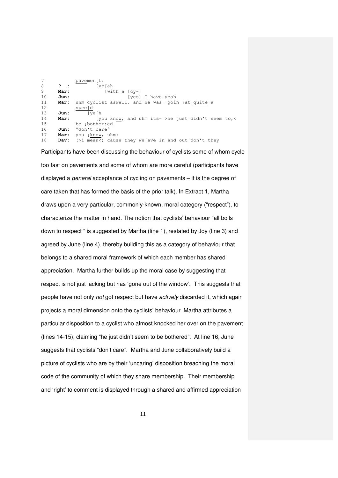7<br>8 **?** : pavemen[t. 8 **? :** [ye[ah]<br>9 **Mar:** [wi] 9 **Mar:** [with a [cy-]<br>10 **Jun:** [yes] 10 Jun: [yes] I have yeah<br>11 **Mar**: uhm cyclist aswell. and he was 190in Mar: uhm cyclist aswell. and he was 190in 1at quite a 12  $\frac{\text{spec}[\text{d}]}{13}$  Jun:  $\frac{\text{spec}[\text{d}]}{1}$ 13 **Jun:** [ye[h 14 **Mar:** [you know, and uhm its- >he just didn't seem to,< 15 be ↓bother:ed<br>16 **Jun:** °don't care° Jun: °don't care° 17 **Mar:** you  $\downarrow$ know, uhm: 18 **Dav:** (>i mean<) cause they we[ave in and out don't they

Participants have been discussing the behaviour of cyclists some of whom cycle too fast on pavements and some of whom are more careful (participants have displayed a *general* acceptance of cycling on payements – it is the degree of care taken that has formed the basis of the prior talk). In Extract 1, Martha draws upon a very particular, commonly-known, moral category ("respect"), to characterize the matter in hand. The notion that cyclists' behaviour "all boils down to respect " is suggested by Martha (line 1), restated by Joy (line 3) and agreed by June (line 4), thereby building this as a category of behaviour that belongs to a shared moral framework of which each member has shared appreciation. Martha further builds up the moral case by suggesting that respect is not just lacking but has 'gone out of the window'. This suggests that people have not only not got respect but have actively discarded it, which again projects a moral dimension onto the cyclists' behaviour. Martha attributes a particular disposition to a cyclist who almost knocked her over on the pavement (lines 14-15), claiming "he just didn't seem to be bothered". At line 16, June suggests that cyclists "don't care". Martha and June collaboratively build a picture of cyclists who are by their 'uncaring' disposition breaching the moral code of the community of which they share membership. Their membership and 'right' to comment is displayed through a shared and affirmed appreciation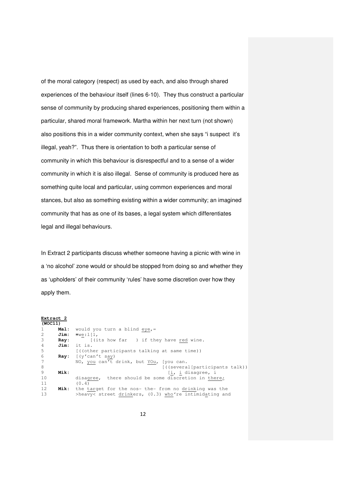of the moral category (respect) as used by each, and also through shared experiences of the behaviour itself (lines 6-10). They thus construct a particular sense of community by producing shared experiences, positioning them within a particular, shared moral framework. Martha within her next turn (not shown) also positions this in a wider community context, when she says "i suspect it's illegal, yeah?". Thus there is orientation to both a particular sense of community in which this behaviour is disrespectful and to a sense of a wider community in which it is also illegal. Sense of community is produced here as something quite local and particular, using common experiences and moral stances, but also as something existing within a wider community; an imagined community that has as one of its bases, a legal system which differentiates legal and illegal behaviours.

In Extract 2 participants discuss whether someone having a picnic with wine in a 'no alcohol' zone would or should be stopped from doing so and whether they as 'upholders' of their community 'rules' have some discretion over how they apply them.

| Extract 2 |                  |                                                          |
|-----------|------------------|----------------------------------------------------------|
| (WOCI1)   |                  |                                                          |
| 1         | Mal:             | would you turn a blind eye, =                            |
| 2         | Jim:             | $=$ we: $1\left[1, \right]$                              |
| 3         | $\mathbf{Ray}$ : | [(its how far ) if they have red wine.                   |
| 4         | Jim:             | it is.                                                   |
| 5         |                  | ((other participants talking at same time))              |
| 6         | Ray:             | [(y'can't say)                                           |
| 7         |                  | NO, you can't drink, but YOu, [you can.                  |
| 8         |                  | [((several[participants talk))                           |
| 9         | Mik:             | [i, i disagree, i                                        |
| 10        |                  | disagree, there should be some discretion in there;      |
| 11        |                  | (0.4)                                                    |
| 12        | Mik:             | the target for the nos- the- from no drinking was the    |
| 13        |                  | >heavy< street drinkers, $(0.3)$ who're intimidating and |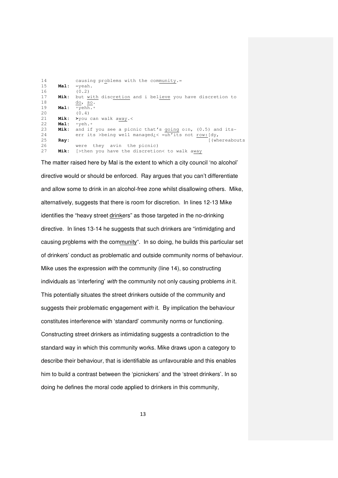| 14 |             | causing problems with the community.=                      |
|----|-------------|------------------------------------------------------------|
| 15 | Mal:        | $=$ veah.                                                  |
| 16 |             | (0.2)                                                      |
| 17 | Mik:        | but with discretion and i believe you have discretion to   |
| 18 |             | do, so.                                                    |
| 19 | Mal:        | ∘vehh.∘                                                    |
| 20 |             | (0.4)                                                      |
| 21 | Mik:        | $\rightarrow$ you can walk away.<                          |
| 22 | <b>Mal:</b> | ∘veh.∘                                                     |
| 23 | Mik:        | and if you see a picnic that's going o:n, $(0.5)$ and its- |
| 24 |             | err its >being well managed: $\lt$ =uh'its not row: [dy,   |
| 25 | Ray:        | [(whereabouts                                              |
| 26 |             | were they avin the picnic)                                 |
| 27 | Mik:        | [>then you have the discretion< to walk away               |

The matter raised here by Mal is the extent to which a city council 'no alcohol' directive would or should be enforced. Ray argues that you can't differentiate and allow some to drink in an alcohol-free zone whilst disallowing others. Mike, alternatively, suggests that there is room for discretion. In lines 12-13 Mike identifies the "heavy street drinkers" as those targeted in the no-drinking directive. In lines 13-14 he suggests that such drinkers are "intimidating and causing problems with the community". In so doing, he builds this particular set of drinkers' conduct as problematic and outside community norms of behaviour. Mike uses the expression with the community (line 14), so constructing individuals as 'interfering' with the community not only causing problems in it. This potentially situates the street drinkers outside of the community and suggests their problematic engagement with it. By implication the behaviour constitutes interference with 'standard' community norms or functioning. Constructing street drinkers as intimidating suggests a contradiction to the standard way in which this community works. Mike draws upon a category to describe their behaviour, that is identifiable as unfavourable and this enables him to build a contrast between the 'picnickers' and the 'street drinkers'. In so doing he defines the moral code applied to drinkers in this community,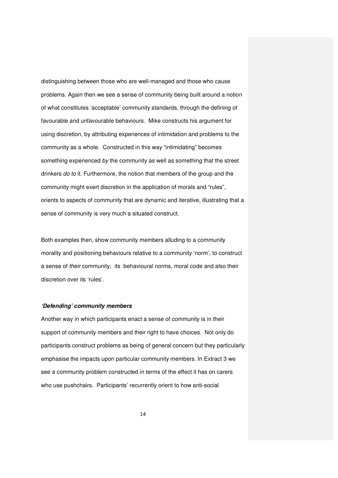distinguishing between those who are well-managed and those who cause problems. Again then we see a sense of community being built around a notion of what constitutes 'acceptable' community standards, through the defining of favourable and unfavourable behaviours. Mike constructs his argument for using discretion, by attributing experiences of intimidation and problems to the community as a whole. Constructed in this way "intimidating" becomes something experienced by the community as well as something that the street drinkers do to it. Furthermore, the notion that members of the group and the community might exert discretion in the application of morals and "rules", orients to aspects of community that are dynamic and iterative, illustrating that a sense of community is very much a situated construct.

Both examples then, show community members alluding to a community morality and positioning behaviours relative to a community 'norm', to construct a sense of their community; its behavioural norms, moral code and also their discretion over its 'rules'.

#### **'Defending' community members**

Another way in which participants enact a sense of community is in their support of community members and their right to have choices. Not only do participants construct problems as being of general concern but they particularly emphasise the impacts upon particular community members. In Extract 3 we see a community problem constructed in terms of the effect it has on carers who use pushchairs. Participants' recurrently orient to how anti-social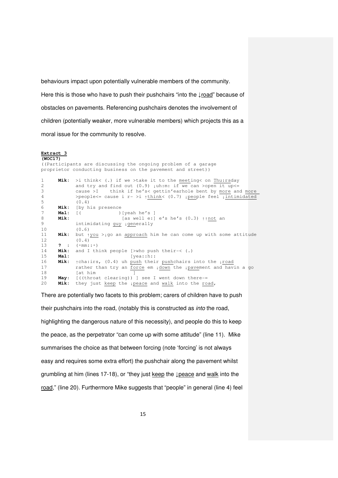behaviours impact upon potentially vulnerable members of the community. Here this is those who have to push their pushchairs "into the ↓road" because of obstacles on pavements. Referencing pushchairs denotes the involvement of children (potentially weaker, more vulnerable members) which projects this as a moral issue for the community to resolve.

#### **Extract 3 (WOC17)**  ((Participants are discussing the ongoing problem of a garage proprietor conducting business on the pavement and street)) 1 **Mik:** >i think< (.) if we >take it to the meeting< on Thu:rsday 2 and try and find out (0.9) µuh:m: if we can >open it up <= 3 cause >I think if he's< gettin'earhole bent by more and more 4 >people<= cause i r- >i ↑think< (0.7) ↓people feel ↓intimidated  $(0.4)$ 6 **Mik:** [by his presence 7 **Mal:** [( )[yeah he's ] 8 **Mik:** [as well e:] e's he's (0.3) ↑↑not an 9 intimidating guy ↓generally 10 (0.6) 11 **Mik:** but ↑you >↓go an approach him he can come up with some attitude 12 (0.4)<br>13 **?** : ( $\circ$ mm: 13 **?** : (◦mm::◦) 14 **Mik:** and I think people [>who push their-< (.) 15 **Mal:** [yea::h:: 16 **Mik:** ↑cha:irs, (0.4) uh push their pushchairs into the ↓road 17 rather than try an force em ↓down the ↓pavement and havin a go 18 **a** [at him **]** 19 **May:** [((throat clearing)) ] see I went down there-=<br>20 **Mik:** they just keep the peace and walk into the ro they just keep the <sub>↓</sub>peace and walk into the road,

There are potentially two facets to this problem; carers of children have to push their pushchairs into the road, (notably this is constructed as into the road, highlighting the dangerous nature of this necessity), and people do this to keep the peace, as the perpetrator "can come up with some attitude" (line 11). Mike summarises the choice as that between forcing (note 'forcing' is not always easy and requires some extra effort) the pushchair along the pavement whilst grumbling at him (lines 17-18), or "they just keep the ↓peace and walk into the road," (line 20). Furthermore Mike suggests that "people" in general (line 4) feel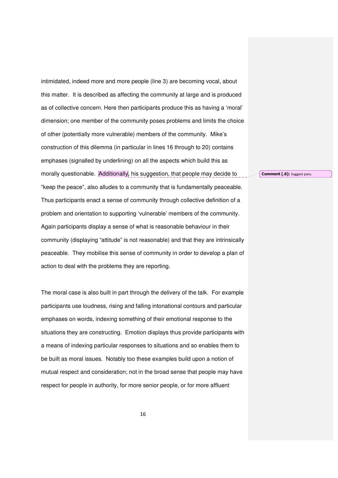intimidated, indeed more and more people (line 3) are becoming vocal, about this matter. It is described as affecting the community at large and is produced as of collective concern. Here then participants produce this as having a 'moral' dimension; one member of the community poses problems and limits the choice of other (potentially more vulnerable) members of the community. Mike's construction of this dilemma (in particular in lines 16 through to 20) contains emphases (signalled by underlining) on all the aspects which build this as morally questionable. Additionally, his suggestion, that people may decide to "keep the peace", also alludes to a community that is fundamentally peaceable. Thus participants enact a sense of community through collective definition of a problem and orientation to supporting 'vulnerable' members of the community. Again participants display a sense of what is reasonable behaviour in their community (displaying "attitude" is not reasonable) and that they are intrinsically peaceable. They mobilise this sense of community in order to develop a plan of action to deal with the problems they are reporting.

The moral case is also built in part through the delivery of the talk. For example participants use loudness, rising and falling intonational contours and particular emphases on words, indexing something of their emotional response to the situations they are constructing. Emotion displays thus provide participants with a means of indexing particular responses to situations and so enables them to be built as moral issues. Notably too these examples build upon a notion of mutual respect and consideration; not in the broad sense that people may have respect for people in authority, for more senior people, or for more affluent

Comment [.6]: Suggest para.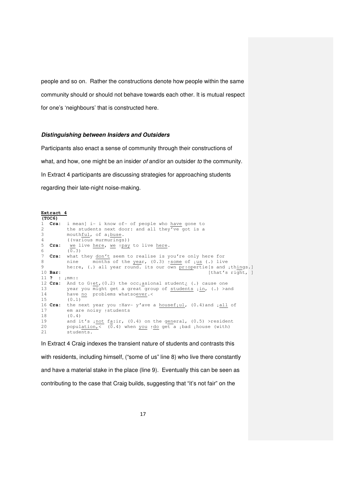people and so on. Rather the constructions denote how people within the same community should or should not behave towards each other. It is mutual respect for one's 'neighbours' that is constructed here.

#### **Distinguishing between Insiders and Outsiders**

Participants also enact a sense of community through their constructions of what, and how, one might be an insider of and/or an outsider to the community. In Extract 4 participants are discussing strategies for approaching students regarding their late-night noise-making.

#### **Extract 4 (TOC6)**  1 **Cra:** i mean] i- i know of- of people who have gone to 2 the students next door: and all they've got is a<br>3 mouthful. of albuse. mouthful, of a<sub>↓</sub>buse. 4 ((various murmurings)) 5 **Cra:** we live here, we ↑pay to live here. 6 (0.3) 7 **Cra:** what they don't seem to realise is you're only here for 8 nine months of the year, (0.3) ↑some of ↓us (.) live 9 he:re, (.) all year round. its our own pr↑opertie[s and ↓things.]<br>10 Bar: [that's right, ] [that's right, ] 11 **? :** ↓mm:: 12 **Cra:** And to G↑et,(0.2) the occ↓asional student¿ (.) cause one 13 year you might get a great group of students  $\lim_{n \to \infty}$  (.) > and 14 have no problems whatsoever. 15 (0.1) 16 Cra: the next year you 1Hav- y'ave a housef<sub>1ul</sub>, (0.4) and  $\frac{\text{all}}{\text{all}}$  of 17 em are noisy ↑students 18 (0.4) 19 and it's ↓not fa:ir, (0.4) on the general, (0.5) >resident 20 population,<  $(0.4)$  when you  $\uparrow$  do get a ↓bad ↓house (with) 21 students. In Extract 4 Craig indexes the transient nature of students and contrasts this

with residents, including himself, ("some of us" line 8) who live there constantly and have a material stake in the place (line 9). Eventually this can be seen as contributing to the case that Craig builds, suggesting that "it's not fair" on the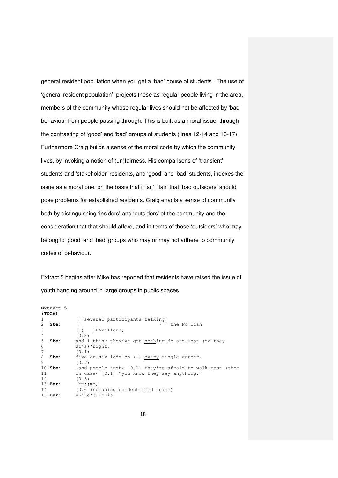general resident population when you get a 'bad' house of students. The use of 'general resident population' projects these as regular people living in the area, members of the community whose regular lives should not be affected by 'bad' behaviour from people passing through. This is built as a moral issue, through the contrasting of 'good' and 'bad' groups of students (lines 12-14 and 16-17). Furthermore Craig builds a sense of the moral code by which the community lives, by invoking a notion of (un)fairness. His comparisons of 'transient' students and 'stakeholder' residents, and 'good' and 'bad' students, indexes the issue as a moral one, on the basis that it isn't 'fair' that 'bad outsiders' should pose problems for established residents. Craig enacts a sense of community both by distinguishing 'insiders' and 'outsiders' of the community and the consideration that that should afford, and in terms of those 'outsiders' who may belong to 'good' and 'bad' groups who may or may not adhere to community codes of behaviour.

Extract 5 begins after Mike has reported that residents have raised the issue of youth hanging around in large groups in public spaces.

|                   | Extract 5      |                                                             |
|-------------------|----------------|-------------------------------------------------------------|
|                   | (TOC6)         |                                                             |
| 1                 |                | [((several participants talking)                            |
| $\mathbf{2}$      | Ste:           | ) ] the Po:lish<br>$\lceil$ (                               |
| 3                 |                | $(.)$ TRAvellers,                                           |
| $\overline{4}$    |                | (0.3)                                                       |
| 5                 | Ste:           | and I think they've got nothing do and what (do they        |
| 6                 |                | do's)'right,                                                |
| 7                 |                | (0.1)                                                       |
| 8                 | Ste:           | five or six lads on (.) every single corner,                |
| 9                 |                | (0.7)                                                       |
|                   | $10$ Ste:      | >and people just< $(0.1)$ they're afraid to walk past >them |
| 11                |                | in case< $(0.1)$ °you know they say anything.               |
| $12 \overline{ }$ |                | (0.5)                                                       |
|                   | 13 <b>Bar:</b> | $\perp$ Mm : $\uparrow$ mm ,                                |
| 14                |                | (0.6 including unidentified noise)                          |
|                   | 15 <b>Bar:</b> | where's [this                                               |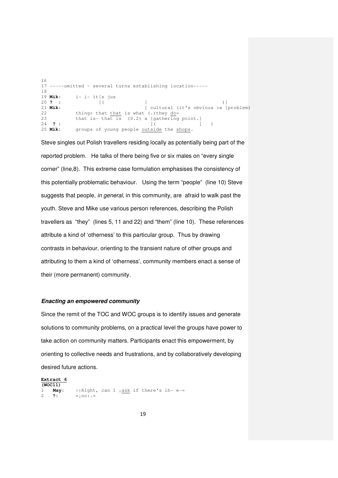```
16 
17 -----omitted – several turns establishing location----- 
18 
19 Mik: i- i- it[s jus 
20 ? : [( [ )] 
                          [ cultural (it's obvious >a ]problem)
22 thing< that that is what (.)they do= 
23 that is- that is (0.2) a [gathering point.]<br>24 ?:
24 ? : [( ] )
25 Mik: groups of young people outside the shops.
```
Steve singles out Polish travellers residing locally as potentially being part of the reported problem. He talks of there being five or six males on "every single corner" (line,8). This extreme case formulation emphasises the consistency of this potentially problematic behaviour. Using the term "people" (line 10) Steve suggests that people, in general, in this community, are afraid to walk past the youth. Steve and Mike use various person references, describing the Polish travellers as "they" (lines 5, 11 and 22) and "them" (line 10). These references attribute a kind of 'otherness' to this particular group. Thus by drawing contrasts in behaviour, orienting to the transient nature of other groups and attributing to them a kind of 'otherness', community members enact a sense of their (more permanent) community.

### **Enacting an empowered community**

Since the remit of the TOC and WOC groups is to identify issues and generate solutions to community problems, on a practical level the groups have power to take action on community matters. Participants enact this empowerment, by orienting to collective needs and frustrations, and by collaboratively developing desired future actions.

**Extract 6 (WOC11)** 1 **May:** ↑↑RIght, can I ↓ask if there's ih- e-=<br>2 ?: =↓no:.= 2 **?:** =↓no:.=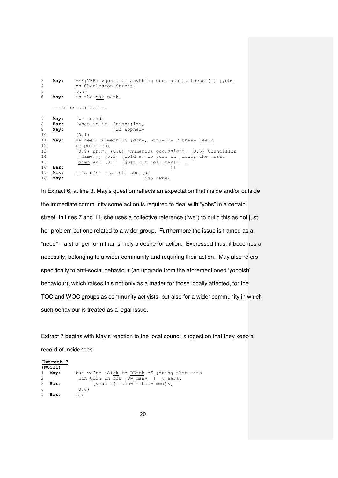```
3 May: =↑E↑VER: >gonna be anything done about< these (.) ↓yobs 
4 on Charleston Street, 
5 (0.9)<br>6 May: in tl
6 May: in the car park. 
     ---turns omitted--- 
7 May: [we nee:d-
8 Bar: [when is it, [night<sub>↑ime</sub>}<br>9 May: [do sopned-
9 May: [do sopned-
           (0.1)11 May: we need ↑something ↓done, >thi- p- < they- bee:n 
12 re↓por:↓ted¿
13 (0.9) uh:m: (0.8) ↑numerous occ↓asions, (0.5) Councillor
14 ((Name))\frac{1}{c} (0.2) \frac{1}{10} em to turn it \frac{1}{4}down,=the music
15 \downarrow down an: (0.3) [just got told ter]:: ...
16 Bar: [( )]<br>17 Mik: it's d's- its anti soci[al
17 Mik: it's d's- its anti soci[al]<br>18 May: [>go
                                    18 May: [>go away<
```
In Extract 6, at line 3, May's question reflects an expectation that inside and/or outside the immediate community some action is required to deal with "yobs" in a certain street. In lines 7 and 11, she uses a collective reference ("we") to build this as not just her problem but one related to a wider group. Furthermore the issue is framed as a "need" – a stronger form than simply a desire for action. Expressed thus, it becomes a necessity, belonging to a wider community and requiring their action. May also refers specifically to anti-social behaviour (an upgrade from the aforementioned 'yobbish' behaviour), which raises this not only as a matter for those locally affected, for the TOC and WOC groups as community activists, but also for a wider community in which such behaviour is treated as a legal issue.

Extract 7 begins with May's reaction to the local council suggestion that they keep a record of incidences.

|               | Extract 7 |                                                        |
|---------------|-----------|--------------------------------------------------------|
|               | (WOC11)   |                                                        |
|               | $1$ May:  | but we're $\uparrow$ SIck to DEath of idoing that.=its |
| $\mathcal{L}$ |           | [bin GOin On for 10w many ] y <sub>1ears</sub> .       |
| 3             | Bar:      | $[veah > i \text{ know } i \text{ know } mm: \<$       |
| 4             |           | (0.6)                                                  |
| .5            | Bar:      | mm:                                                    |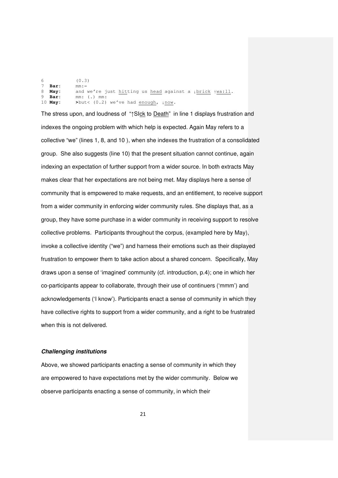$(0.3)$ <br> **Bar:** mm:=  **Bar:** mm:= **May:** and we're just <u>hit</u>ting us <u>head</u> against a ↓ <u>brick</u> ↑ <u>wa:11</u>.<br>9 **Bar:** mm: (.) mm:  **Bar:** mm: (.) mm: **May:** >but< (0.2) we've had enough,  $\text{10 W}$ .

The stress upon, and loudness of "↑SIck to Death" in line 1 displays frustration and indexes the ongoing problem with which help is expected. Again May refers to a collective "we" (lines 1, 8, and 10 ), when she indexes the frustration of a consolidated group. She also suggests (line 10) that the present situation cannot continue, again indexing an expectation of further support from a wider source. In both extracts May makes clear that her expectations are not being met. May displays here a sense of community that is empowered to make requests, and an entitlement, to receive support from a wider community in enforcing wider community rules. She displays that, as a group, they have some purchase in a wider community in receiving support to resolve collective problems. Participants throughout the corpus, (exampled here by May), invoke a collective identity ("we") and harness their emotions such as their displayed frustration to empower them to take action about a shared concern. Specifically, May draws upon a sense of 'imagined' community (cf. introduction, p.4); one in which her co-participants appear to collaborate, through their use of continuers ('mmm') and acknowledgements ('I know'). Participants enact a sense of community in which they have collective rights to support from a wider community, and a right to be frustrated when this is not delivered.

#### **Challenging institutions**

Above, we showed participants enacting a sense of community in which they are empowered to have expectations met by the wider community. Below we observe participants enacting a sense of community, in which their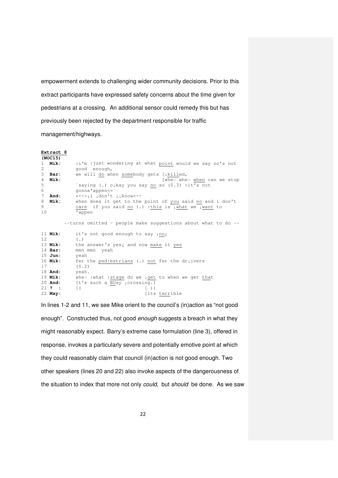empowerment extends to challenging wider community decisions. Prior to this extract participants have expressed safety concerns about the time given for pedestrians at a crossing. An additional sensor could remedy this but has previously been rejected by the department responsible for traffic management/highways.

|              | Extract 8   |                                                                                  |
|--------------|-------------|----------------------------------------------------------------------------------|
|              | (WOC15)     |                                                                                  |
| $\mathbf{1}$ | Mik:        | $\uparrow$ i'm $\uparrow$ just wondering at what point would we say no's not     |
| 2            |             | good enough,                                                                     |
| 3            | Bar:        | we will do when somebody gets [ µkilled,                                         |
| 4            | Mik:        | [whe- whe- when can we stop                                                      |
| 5            |             | `saying (.) olkay you say no so $(0.3)$ >it's not                                |
| 6            |             | qonna'appen <=                                                                   |
| 7            | <b>And:</b> | $= 0$ $\rightarrow$ $\pm i$ $\pm$ don't $\pm i$ know<00                          |
| 8            | <b>Mik:</b> | when does it get to the point of you said no and i don't                         |
| 9            |             | care if you said no (.) this is what we want to                                  |
| 10           |             | 'appen                                                                           |
|              |             | --turns omitted - people make suggestions about what to do --                    |
|              | 11 Mik:     | it's not good enough to say ino;                                                 |
| 12.          |             | $(\cdot)$                                                                        |
|              | 13 Mik:     | the answer's yes; and now make it yes                                            |
|              | $14$ Bar:   | mmn mmn yeah                                                                     |
|              | $15$ Jun:   | yeah                                                                             |
|              | 16 Mik:     | fer the ped estrians (.) not fer the drivers                                     |
| 17           |             | (0, 2)                                                                           |
|              | 18 And:     | yeah.                                                                            |
|              | $19$ Mik:   | whe- $\uparrow$ what $\uparrow$ stage do we $\downarrow$ get to when we get that |
|              | 20 And:     | [t's such a BUsy icrossing.]                                                     |
|              | 21 ? :      | $\lceil ($<br>$\begin{bmatrix} 1 & 1 \\ 1 & 1 \end{bmatrix}$                     |
|              | 22 May:     | [its terrible                                                                    |

In lines 1-2 and 11, we see Mike orient to the council's (in)action as "not good enough". Constructed thus, not good enough suggests a breach in what they might reasonably expect. Barry's extreme case formulation (line 3), offered in response, invokes a particularly severe and potentially emotive point at which they could reasonably claim that council (in)action is not good enough. Two other speakers (lines 20 and 22) also invoke aspects of the dangerousness of the situation to index that more not only could, but should be done. As we saw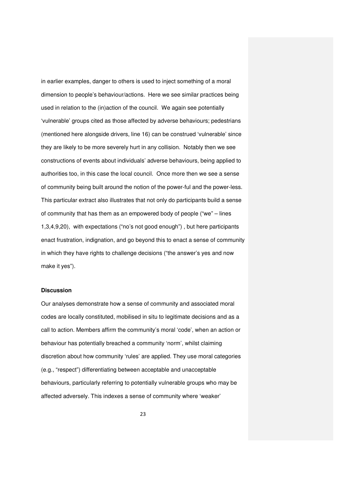in earlier examples, danger to others is used to inject something of a moral dimension to people's behaviour/actions. Here we see similar practices being used in relation to the (in)action of the council. We again see potentially 'vulnerable' groups cited as those affected by adverse behaviours; pedestrians (mentioned here alongside drivers, line 16) can be construed 'vulnerable' since they are likely to be more severely hurt in any collision. Notably then we see constructions of events about individuals' adverse behaviours, being applied to authorities too, in this case the local council. Once more then we see a sense of community being built around the notion of the power-ful and the power-less. This particular extract also illustrates that not only do participants build a sense of community that has them as an empowered body of people ("we" – lines 1,3,4,9,20), with expectations ("no's not good enough") , but here participants enact frustration, indignation, and go beyond this to enact a sense of community in which they have rights to challenge decisions ("the answer's yes and now make it yes").

## **Discussion**

Our analyses demonstrate how a sense of community and associated moral codes are locally constituted, mobilised in situ to legitimate decisions and as a call to action. Members affirm the community's moral 'code', when an action or behaviour has potentially breached a community 'norm', whilst claiming discretion about how community 'rules' are applied. They use moral categories (e.g., "respect") differentiating between acceptable and unacceptable behaviours, particularly referring to potentially vulnerable groups who may be affected adversely. This indexes a sense of community where 'weaker'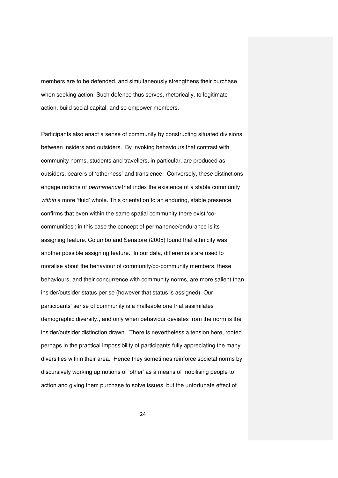members are to be defended, and simultaneously strengthens their purchase when seeking action. Such defence thus serves, rhetorically, to legitimate action, build social capital, and so empower members.

Participants also enact a sense of community by constructing situated divisions between insiders and outsiders. By invoking behaviours that contrast with community norms, students and travellers, in particular, are produced as outsiders, bearers of 'otherness' and transience. Conversely, these distinctions engage notions of permanence that index the existence of a stable community within a more 'fluid' whole. This orientation to an enduring, stable presence confirms that even within the same spatial community there exist 'cocommunities'; in this case the concept of permanence/endurance is its assigning feature. Columbo and Senatore (2005) found that ethnicity was another possible assigning feature. In our data, differentials are used to moralise about the behaviour of community/co-community members: these behaviours, and their concurrence with community norms, are more salient than insider/outsider status per se (however that status is assigned). Our participants' sense of community is a malleable one that assimilates demographic diversity., and only when behaviour deviates from the norm is the insider/outsider distinction drawn. There is nevertheless a tension here, rooted perhaps in the practical impossibility of participants fully appreciating the many diversities within their area. Hence they sometimes reinforce societal norms by discursively working up notions of 'other' as a means of mobilising people to action and giving them purchase to solve issues, but the unfortunate effect of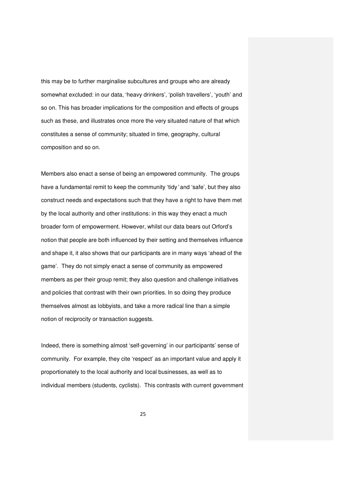this may be to further marginalise subcultures and groups who are already somewhat excluded: in our data, 'heavy drinkers', 'polish travellers', 'youth' and so on. This has broader implications for the composition and effects of groups such as these, and illustrates once more the very situated nature of that which constitutes a sense of community; situated in time, geography, cultural composition and so on.

Members also enact a sense of being an empowered community. The groups have a fundamental remit to keep the community 'tidy' and 'safe', but they also construct needs and expectations such that they have a right to have them met by the local authority and other institutions: in this way they enact a much broader form of empowerment. However, whilst our data bears out Orford's notion that people are both influenced by their setting and themselves influence and shape it, it also shows that our participants are in many ways 'ahead of the game'. They do not simply enact a sense of community as empowered members as per their group remit; they also question and challenge initiatives and policies that contrast with their own priorities. In so doing they produce themselves almost as lobbyists, and take a more radical line than a simple notion of reciprocity or transaction suggests.

Indeed, there is something almost 'self-governing' in our participants' sense of community. For example, they cite 'respect' as an important value and apply it proportionately to the local authority and local businesses, as well as to individual members (students, cyclists). This contrasts with current government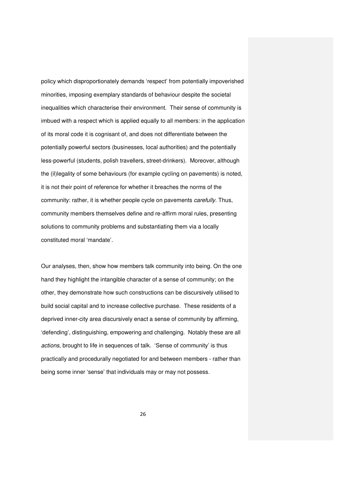policy which disproportionately demands 'respect' from potentially impoverished minorities, imposing exemplary standards of behaviour despite the societal inequalities which characterise their environment. Their sense of community is imbued with a respect which is applied equally to all members: in the application of its moral code it is cognisant of, and does not differentiate between the potentially powerful sectors (businesses, local authorities) and the potentially less-powerful (students, polish travellers, street-drinkers). Moreover, although the (il)legality of some behaviours (for example cycling on pavements) is noted, it is not their point of reference for whether it breaches the norms of the community: rather, it is whether people cycle on pavements carefully. Thus, community members themselves define and re-affirm moral rules, presenting solutions to community problems and substantiating them via a locally constituted moral 'mandate'.

Our analyses, then, show how members talk community into being. On the one hand they highlight the intangible character of a sense of community; on the other, they demonstrate how such constructions can be discursively utilised to build social capital and to increase collective purchase. These residents of a deprived inner-city area discursively enact a sense of community by affirming, 'defending', distinguishing, empowering and challenging. Notably these are all actions, brought to life in sequences of talk. 'Sense of community' is thus practically and procedurally negotiated for and between members - rather than being some inner 'sense' that individuals may or may not possess.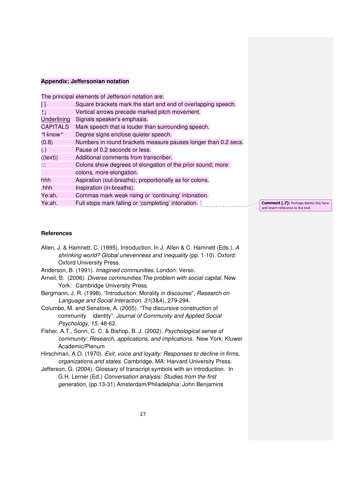### **Appendix: Jeffersonian notation**

|                                  | The principal elements of Jefferson notation are:              |
|----------------------------------|----------------------------------------------------------------|
| H                                | Square brackets mark the start and end of overlapping speech.  |
| $\uparrow \downarrow$            | Vertical arrows precede marked pitch movement.                 |
| Underlining                      | Signals speaker's emphasis.                                    |
| <b>CAPITALS</b>                  | Mark speech that is louder than surrounding speech.            |
| <sup>o</sup> l know <sup>o</sup> | Degree signs enclose quieter speech.                           |
| (0.8)                            | Numbers in round brackets measure pauses longer than 0.2 secs. |
| (.)                              | Pause of 0.2 seconds or less.                                  |
| ((text)                          | Additional comments from transcriber.                          |
|                                  | Colons show degrees of elongation of the prior sound; more     |
|                                  | colons, more elongation.                                       |
| hhh                              | Aspiration (out-breaths); proportionally as for colons.        |
| .hhh                             | Inspiration (in-breaths).                                      |
| Ye:ah,                           | Commas mark weak rising or 'continuing' intonation.            |
| Ye:ah.                           | Full stops mark falling or 'completing' intonation.            |
|                                  |                                                                |

Comment [.7]: Perhaps delete this here and insert reference in the text.

## **References**

| Allen, J. & Hamnett, C. (1995). Introduction. In J. Allen & C. Hamnett (Eds.), A |
|----------------------------------------------------------------------------------|
| shrinking world? Global unevenness and inequality (pp. 1-10). Oxford:            |
| Oxford University Press.                                                         |

- Anderson, B. (1991). Imagined communities. London: Verso.
- Arneil, B. (2006). Diverse communities:The problem with social capital. New York: Cambridge University Press.
- Bergmann, J. R. (1998). "Introduction: Morality in discourse", Research on Language and Social Interaction. 31(3&4), 279-294.
- Columbo, M. and Senatore, A. (2005). "The discursive construction of community identity". Journal of Community and Applied Social Psychology, 15, 48-62.
- Fisher, A.T., Sonn, C. C. & Bishop, B. J. (2002). Psychological sense of community: Research, applications, and implications. New York: Kluwer Academic/Plenum
- Hirschman, A.O. (1970). Exit, voice and loyalty: Responses to decline in firms, organizations and states. Cambridge, MA: Harvard University Press.
- Jefferson, G. (2004). Glossary of transcript symbols with an introduction. In G.H. Lerner (Ed.) Conversation analysis: Studies from the first generation, (pp.13-31) Amsterdam/Philadelphia: John Benjamins